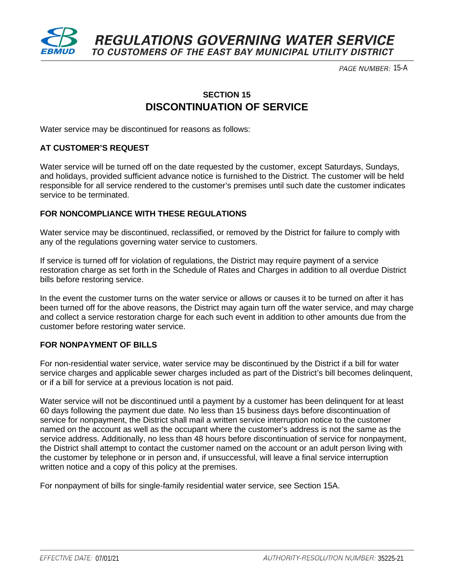

PAGE NUMBER: 15-A

## **SECTION 15 DISCONTINUATION OF SERVICE**

Water service may be discontinued for reasons as follows:

#### **AT CUSTOMER'S REQUEST**

Water service will be turned off on the date requested by the customer, except Saturdays, Sundays, and holidays, provided sufficient advance notice is furnished to the District. The customer will be held responsible for all service rendered to the customer's premises until such date the customer indicates service to be terminated.

#### **FOR NONCOMPLIANCE WITH THESE REGULATIONS**

Water service may be discontinued, reclassified, or removed by the District for failure to comply with any of the regulations governing water service to customers.

If service is turned off for violation of regulations, the District may require payment of a service restoration charge as set forth in the Schedule of Rates and Charges in addition to all overdue District bills before restoring service.

In the event the customer turns on the water service or allows or causes it to be turned on after it has been turned off for the above reasons, the District may again turn off the water service, and may charge and collect a service restoration charge for each such event in addition to other amounts due from the customer before restoring water service.

#### **FOR NONPAYMENT OF BILLS**

For non-residential water service, water service may be discontinued by the District if a bill for water service charges and applicable sewer charges included as part of the District's bill becomes delinquent, or if a bill for service at a previous location is not paid.

Water service will not be discontinued until a payment by a customer has been delinquent for at least 60 days following the payment due date. No less than 15 business days before discontinuation of service for nonpayment, the District shall mail a written service interruption notice to the customer named on the account as well as the occupant where the customer's address is not the same as the service address. Additionally, no less than 48 hours before discontinuation of service for nonpayment, the District shall attempt to contact the customer named on the account or an adult person living with the customer by telephone or in person and, if unsuccessful, will leave a final service interruption written notice and a copy of this policy at the premises.

For nonpayment of bills for single-family residential water service, see Section 15A.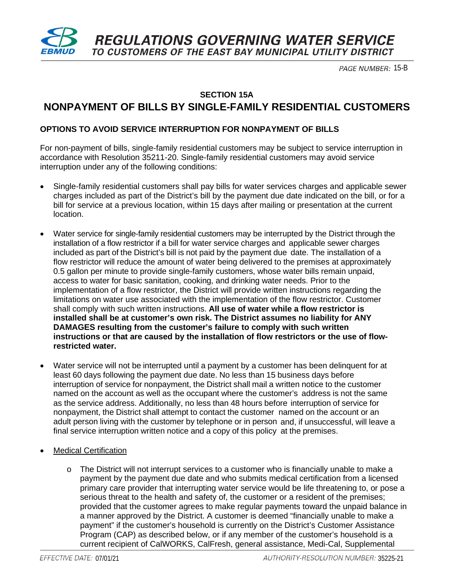

PAGE NUMBER: 15-B

### **SECTION 15A NONPAYMENT OF BILLS BY SINGLE-FAMILY RESIDENTIAL CUSTOMERS**

#### **OPTIONS TO AVOID SERVICE INTERRUPTION FOR NONPAYMENT OF BILLS**

For non-payment of bills, single-family residential customers may be subject to service interruption in accordance with Resolution 35211-20. Single-family residential customers may avoid service interruption under any of the following conditions:

- Single-family residential customers shall pay bills for water services charges and applicable sewer charges included as part of the District's bill by the payment due date indicated on the bill, or for a bill for service at a previous location, within 15 days after mailing or presentation at the current location.
- Water service for single-family residential customers may be interrupted by the District through the installation of a flow restrictor if a bill for water service charges and applicable sewer charges included as part of the District's bill is not paid by the payment due date. The installation of a flow restrictor will reduce the amount of water being delivered to the premises at approximately 0.5 gallon per minute to provide single-family customers, whose water bills remain unpaid, access to water for basic sanitation, cooking, and drinking water needs. Prior to the implementation of a flow restrictor, the District will provide written instructions regarding the limitations on water use associated with the implementation of the flow restrictor. Customer shall comply with such written instructions. **All use of water while a flow restrictor is installed shall be at customer's own risk. The District assumes no liability for ANY DAMAGES resulting from the customer's failure to comply with such written instructions or that are caused by the installation of flow restrictors or the use of flowrestricted water.**
- Water service will not be interrupted until a payment by a customer has been delinquent for at least 60 days following the payment due date. No less than 15 business days before interruption of service for nonpayment, the District shall mail a written notice to the customer named on the account as well as the occupant where the customer's address is not the same as the service address. Additionally, no less than 48 hours before interruption of service for nonpayment, the District shall attempt to contact the customer named on the account or an adult person living with the customer by telephone or in person and, if unsuccessful, will leave a final service interruption written notice and a copy of this policy at the premises.
- **Medical Certification** 
	- $\circ$  The District will not interrupt services to a customer who is financially unable to make a payment by the payment due date and who submits medical certification from a licensed primary care provider that interrupting water service would be life threatening to, or pose a serious threat to the health and safety of, the customer or a resident of the premises; provided that the customer agrees to make regular payments toward the unpaid balance in a manner approved by the District. A customer is deemed "financially unable to make a payment" if the customer's household is currently on the District's Customer Assistance Program (CAP) as described below, or if any member of the customer's household is a current recipient of CalWORKS, CalFresh, general assistance, Medi-Cal, Supplemental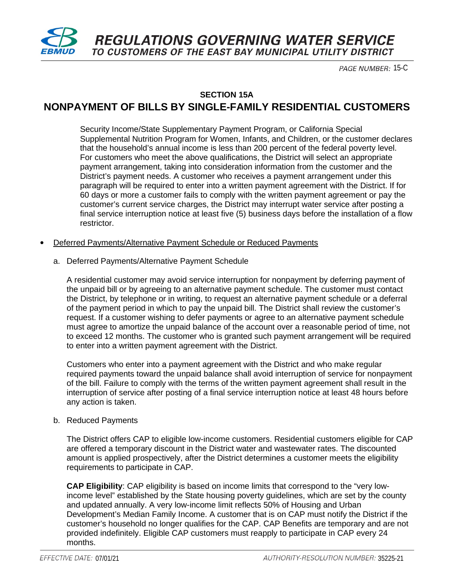

**REGULATIONS GOVERNING WATER SERVICE** TO CUSTOMERS OF THE EAST BAY MUNICIPAL UTILITY DISTRICT

PAGE NUMBER: 15-C

## **SECTION 15A NONPAYMENT OF BILLS BY SINGLE-FAMILY RESIDENTIAL CUSTOMERS**

Security Income/State Supplementary Payment Program, or California Special Supplemental Nutrition Program for Women, Infants, and Children, or the customer declares that the household's annual income is less than 200 percent of the federal poverty level. For customers who meet the above qualifications, the District will select an appropriate payment arrangement, taking into consideration information from the customer and the District's payment needs. A customer who receives a payment arrangement under this paragraph will be required to enter into a written payment agreement with the District. If for 60 days or more a customer fails to comply with the written payment agreement or pay the customer's current service charges, the District may interrupt water service after posting a final service interruption notice at least five (5) business days before the installation of a flow restrictor.

#### • Deferred Payments/Alternative Payment Schedule or Reduced Payments

a. Deferred Payments/Alternative Payment Schedule

A residential customer may avoid service interruption for nonpayment by deferring payment of the unpaid bill or by agreeing to an alternative payment schedule. The customer must contact the District, by telephone or in writing, to request an alternative payment schedule or a deferral of the payment period in which to pay the unpaid bill. The District shall review the customer's request. If a customer wishing to defer payments or agree to an alternative payment schedule must agree to amortize the unpaid balance of the account over a reasonable period of time, not to exceed 12 months. The customer who is granted such payment arrangement will be required to enter into a written payment agreement with the District.

Customers who enter into a payment agreement with the District and who make regular required payments toward the unpaid balance shall avoid interruption of service for nonpayment of the bill. Failure to comply with the terms of the written payment agreement shall result in the interruption of service after posting of a final service interruption notice at least 48 hours before any action is taken.

#### b. Reduced Payments

The District offers CAP to eligible low-income customers. Residential customers eligible for CAP are offered a temporary discount in the District water and wastewater rates. The discounted amount is applied prospectively, after the District determines a customer meets the eligibility requirements to participate in CAP.

**CAP Eligibility**: CAP eligibility is based on income limits that correspond to the "very lowincome level" established by the State housing poverty guidelines, which are set by the county and updated annually. A very low-income limit reflects 50% of Housing and Urban Development's Median Family Income. A customer that is on CAP must notify the District if the customer's household no longer qualifies for the CAP. CAP Benefits are temporary and are not provided indefinitely. Eligible CAP customers must reapply to participate in CAP every 24 months.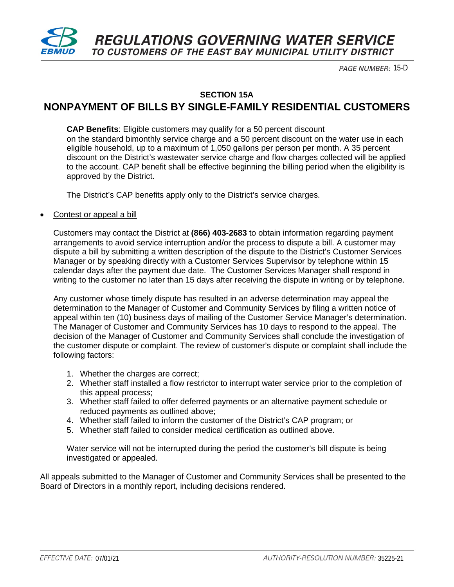

PAGE NUMBER: 15-D

**SECTION 15A**

# **NONPAYMENT OF BILLS BY SINGLE-FAMILY RESIDENTIAL CUSTOMERS**

**CAP Benefits**: Eligible customers may qualify for a 50 percent discount on the standard bimonthly service charge and a 50 percent discount on the water use in each eligible household, up to a maximum of 1,050 gallons per person per month. A 35 percent discount on the District's wastewater service charge and flow charges collected will be applied to the account. CAP benefit shall be effective beginning the billing period when the eligibility is approved by the District.

The District's CAP benefits apply only to the District's service charges.

#### Contest or appeal a bill

Customers may contact the District at **(866) 403-2683** to obtain information regarding payment arrangements to avoid service interruption and/or the process to dispute a bill. A customer may dispute a bill by submitting a written description of the dispute to the District's Customer Services Manager or by speaking directly with a Customer Services Supervisor by telephone within 15 calendar days after the payment due date. The Customer Services Manager shall respond in writing to the customer no later than 15 days after receiving the dispute in writing or by telephone.

Any customer whose timely dispute has resulted in an adverse determination may appeal the determination to the Manager of Customer and Community Services by filing a written notice of appeal within ten (10) business days of mailing of the Customer Service Manager's determination. The Manager of Customer and Community Services has 10 days to respond to the appeal. The decision of the Manager of Customer and Community Services shall conclude the investigation of the customer dispute or complaint. The review of customer's dispute or complaint shall include the following factors:

- 1. Whether the charges are correct;
- 2. Whether staff installed a flow restrictor to interrupt water service prior to the completion of this appeal process;
- 3. Whether staff failed to offer deferred payments or an alternative payment schedule or reduced payments as outlined above;
- 4. Whether staff failed to inform the customer of the District's CAP program; or
- 5. Whether staff failed to consider medical certification as outlined above.

Water service will not be interrupted during the period the customer's bill dispute is being investigated or appealed.

All appeals submitted to the Manager of Customer and Community Services shall be presented to the Board of Directors in a monthly report, including decisions rendered.